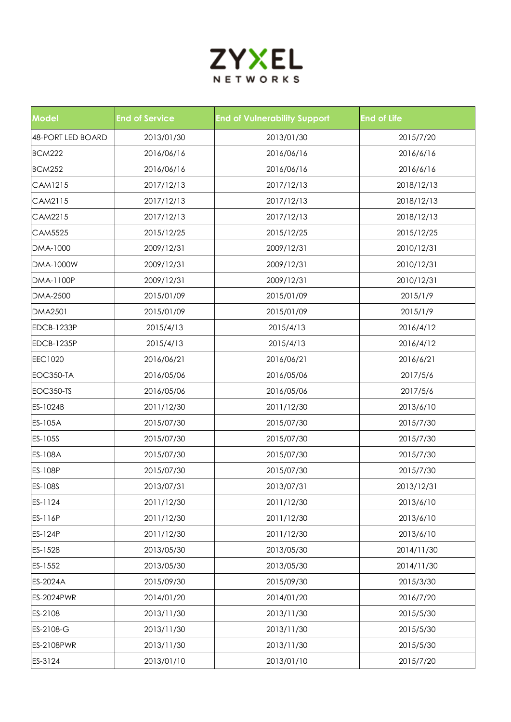

| <b>Model</b>      | <b>End of Service</b> | <b>End of Vulnerability Support</b> | <b>End of Life</b> |
|-------------------|-----------------------|-------------------------------------|--------------------|
| 48-PORT LED BOARD | 2013/01/30            | 2013/01/30                          | 2015/7/20          |
| <b>BCM222</b>     | 2016/06/16            | 2016/06/16                          | 2016/6/16          |
| <b>BCM252</b>     | 2016/06/16            | 2016/06/16                          | 2016/6/16          |
| CAM1215           | 2017/12/13            | 2017/12/13                          | 2018/12/13         |
| CAM2115           | 2017/12/13            | 2017/12/13                          | 2018/12/13         |
| CAM2215           | 2017/12/13            | 2017/12/13                          | 2018/12/13         |
| <b>CAM5525</b>    | 2015/12/25            | 2015/12/25                          | 2015/12/25         |
| DMA-1000          | 2009/12/31            | 2009/12/31                          | 2010/12/31         |
| DMA-1000W         | 2009/12/31            | 2009/12/31                          | 2010/12/31         |
| DMA-1100P         | 2009/12/31            | 2009/12/31                          | 2010/12/31         |
| DMA-2500          | 2015/01/09            | 2015/01/09                          | 2015/1/9           |
| DMA2501           | 2015/01/09            | 2015/01/09                          | 2015/1/9           |
| <b>EDCB-1233P</b> | 2015/4/13             | 2015/4/13                           | 2016/4/12          |
| <b>EDCB-1235P</b> | 2015/4/13             | 2015/4/13                           | 2016/4/12          |
| <b>EEC1020</b>    | 2016/06/21            | 2016/06/21                          | 2016/6/21          |
| EOC350-TA         | 2016/05/06            | 2016/05/06                          | 2017/5/6           |
| EOC350-TS         | 2016/05/06            | 2016/05/06                          | 2017/5/6           |
| ES-1024B          | 2011/12/30            | 2011/12/30                          | 2013/6/10          |
| ES-105A           | 2015/07/30            | 2015/07/30                          | 2015/7/30          |
| ES-105S           | 2015/07/30            | 2015/07/30                          | 2015/7/30          |
| ES-108A           | 2015/07/30            | 2015/07/30                          | 2015/7/30          |
| <b>ES-108P</b>    | 2015/07/30            | 2015/07/30                          | 2015/7/30          |
| ES-108S           | 2013/07/31            | 2013/07/31                          | 2013/12/31         |
| ES-1124           | 2011/12/30            | 2011/12/30                          | 2013/6/10          |
| ES-116P           | 2011/12/30            | 2011/12/30                          | 2013/6/10          |
| <b>ES-124P</b>    | 2011/12/30            | 2011/12/30                          | 2013/6/10          |
| ES-1528           | 2013/05/30            | 2013/05/30                          | 2014/11/30         |
| ES-1552           | 2013/05/30            | 2013/05/30                          | 2014/11/30         |
| ES-2024A          | 2015/09/30            | 2015/09/30                          | 2015/3/30          |
| <b>ES-2024PWR</b> | 2014/01/20            | 2014/01/20                          | 2016/7/20          |
| ES-2108           | 2013/11/30            | 2013/11/30                          | 2015/5/30          |
| ES-2108-G         | 2013/11/30            | 2013/11/30                          | 2015/5/30          |
| <b>ES-2108PWR</b> | 2013/11/30            | 2013/11/30                          | 2015/5/30          |
| ES-3124           | 2013/01/10            | 2013/01/10                          | 2015/7/20          |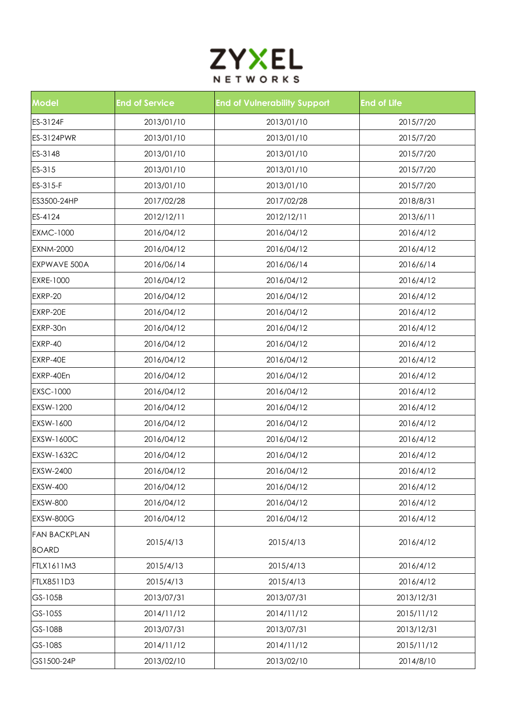

| <b>Model</b>        | <b>End of Service</b> | <b>End of Vulnerability Support</b> | <b>End of Life</b> |
|---------------------|-----------------------|-------------------------------------|--------------------|
| ES-3124F            | 2013/01/10            | 2013/01/10                          | 2015/7/20          |
| ES-3124PWR          | 2013/01/10            | 2013/01/10                          | 2015/7/20          |
| ES-3148             | 2013/01/10            | 2013/01/10                          | 2015/7/20          |
| ES-315              | 2013/01/10            | 2013/01/10                          | 2015/7/20          |
| ES-315-F            | 2013/01/10            | 2013/01/10                          | 2015/7/20          |
| ES3500-24HP         | 2017/02/28            | 2017/02/28                          | 2018/8/31          |
| ES-4124             | 2012/12/11            | 2012/12/11                          | 2013/6/11          |
| <b>EXMC-1000</b>    | 2016/04/12            | 2016/04/12                          | 2016/4/12          |
| <b>EXNM-2000</b>    | 2016/04/12            | 2016/04/12                          | 2016/4/12          |
| EXPWAVE 500A        | 2016/06/14            | 2016/06/14                          | 2016/6/14          |
| EXRE-1000           | 2016/04/12            | 2016/04/12                          | 2016/4/12          |
| EXRP-20             | 2016/04/12            | 2016/04/12                          | 2016/4/12          |
| EXRP-20E            | 2016/04/12            | 2016/04/12                          | 2016/4/12          |
| EXRP-30n            | 2016/04/12            | 2016/04/12                          | 2016/4/12          |
| EXRP-40             | 2016/04/12            | 2016/04/12                          | 2016/4/12          |
| EXRP-40E            | 2016/04/12            | 2016/04/12                          | 2016/4/12          |
| EXRP-40En           | 2016/04/12            | 2016/04/12                          | 2016/4/12          |
| EXSC-1000           | 2016/04/12            | 2016/04/12                          | 2016/4/12          |
| EXSW-1200           | 2016/04/12            | 2016/04/12                          | 2016/4/12          |
| EXSW-1600           | 2016/04/12            | 2016/04/12                          | 2016/4/12          |
| EXSW-1600C          | 2016/04/12            | 2016/04/12                          | 2016/4/12          |
| EXSW-1632C          | 2016/04/12            | 2016/04/12                          | 2016/4/12          |
| EXSW-2400           | 2016/04/12            | 2016/04/12                          | 2016/4/12          |
| <b>EXSW-400</b>     | 2016/04/12            | 2016/04/12                          | 2016/4/12          |
| <b>EXSW-800</b>     | 2016/04/12            | 2016/04/12                          | 2016/4/12          |
| EXSW-800G           | 2016/04/12            | 2016/04/12                          | 2016/4/12          |
| <b>FAN BACKPLAN</b> |                       |                                     |                    |
| <b>BOARD</b>        | 2015/4/13             | 2015/4/13                           | 2016/4/12          |
| <b>FTLX1611M3</b>   | 2015/4/13             | 2015/4/13                           | 2016/4/12          |
| FTLX8511D3          | 2015/4/13             | 2015/4/13                           | 2016/4/12          |
| GS-105B             | 2013/07/31            | 2013/07/31                          | 2013/12/31         |
| GS-105S             | 2014/11/12            | 2014/11/12                          | 2015/11/12         |
| GS-108B             | 2013/07/31            | 2013/07/31                          | 2013/12/31         |
| GS-108S             | 2014/11/12            | 2014/11/12                          | 2015/11/12         |
| GS1500-24P          | 2013/02/10            | 2013/02/10                          | 2014/8/10          |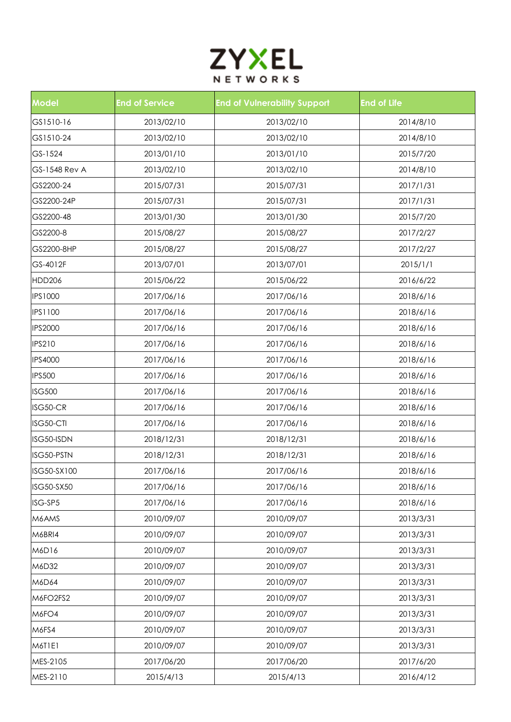

| <b>Model</b>         | <b>End of Service</b> | <b>End of Vulnerability Support</b> | <b>End of Life</b> |
|----------------------|-----------------------|-------------------------------------|--------------------|
| GS1510-16            | 2013/02/10            | 2013/02/10                          | 2014/8/10          |
| GS1510-24            | 2013/02/10            | 2013/02/10                          | 2014/8/10          |
| GS-1524              | 2013/01/10            | 2013/01/10                          | 2015/7/20          |
| <b>GS-1548 Rev A</b> | 2013/02/10            | 2013/02/10                          | 2014/8/10          |
| GS2200-24            | 2015/07/31            | 2015/07/31                          | 2017/1/31          |
| GS2200-24P           | 2015/07/31            | 2015/07/31                          | 2017/1/31          |
| GS2200-48            | 2013/01/30            | 2013/01/30                          | 2015/7/20          |
| GS2200-8             | 2015/08/27            | 2015/08/27                          | 2017/2/27          |
| GS2200-8HP           | 2015/08/27            | 2015/08/27                          | 2017/2/27          |
| GS-4012F             | 2013/07/01            | 2013/07/01                          | 2015/1/1           |
| <b>HDD206</b>        | 2015/06/22            | 2015/06/22                          | 2016/6/22          |
| <b>IPS1000</b>       | 2017/06/16            | 2017/06/16                          | 2018/6/16          |
| <b>IPS1100</b>       | 2017/06/16            | 2017/06/16                          | 2018/6/16          |
| <b>IPS2000</b>       | 2017/06/16            | 2017/06/16                          | 2018/6/16          |
| <b>IPS210</b>        | 2017/06/16            | 2017/06/16                          | 2018/6/16          |
| <b>IPS4000</b>       | 2017/06/16            | 2017/06/16                          | 2018/6/16          |
| <b>IPS500</b>        | 2017/06/16            | 2017/06/16                          | 2018/6/16          |
| <b>ISG500</b>        | 2017/06/16            | 2017/06/16                          | 2018/6/16          |
| ISG50-CR             | 2017/06/16            | 2017/06/16                          | 2018/6/16          |
| ISG50-CTI            | 2017/06/16            | 2017/06/16                          | 2018/6/16          |
| ISG50-ISDN           | 2018/12/31            | 2018/12/31                          | 2018/6/16          |
| ISG50-PSTN           | 2018/12/31            | 2018/12/31                          | 2018/6/16          |
| ISG50-SX100          | 2017/06/16            | 2017/06/16                          | 2018/6/16          |
| ISG50-SX50           | 2017/06/16            | 2017/06/16                          | 2018/6/16          |
| ISG-SP5              | 2017/06/16            | 2017/06/16                          | 2018/6/16          |
| M6AMS                | 2010/09/07            | 2010/09/07                          | 2013/3/31          |
| M6BRI4               | 2010/09/07            | 2010/09/07                          | 2013/3/31          |
| M6D16                | 2010/09/07            | 2010/09/07                          | 2013/3/31          |
| M6D32                | 2010/09/07            | 2010/09/07                          | 2013/3/31          |
| M6D64                | 2010/09/07            | 2010/09/07                          | 2013/3/31          |
| M6FO2FS2             | 2010/09/07            | 2010/09/07                          | 2013/3/31          |
| M6FO4                | 2010/09/07            | 2010/09/07                          | 2013/3/31          |
| M6FS4                | 2010/09/07            | 2010/09/07                          | 2013/3/31          |
| M6T1E1               | 2010/09/07            | 2010/09/07                          | 2013/3/31          |
| MES-2105             | 2017/06/20            | 2017/06/20                          | 2017/6/20          |
| MES-2110             | 2015/4/13             | 2015/4/13                           | 2016/4/12          |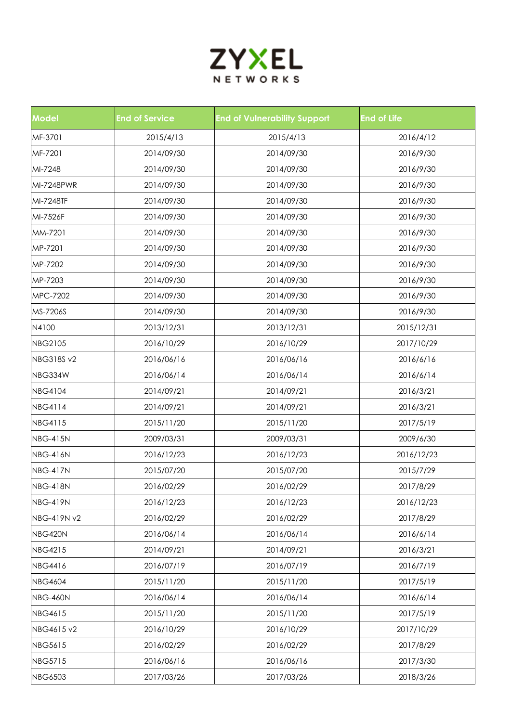

| <b>Model</b>      | <b>End of Service</b> | <b>End of Vulnerability Support</b> | <b>End of Life</b> |
|-------------------|-----------------------|-------------------------------------|--------------------|
| MF-3701           | 2015/4/13             | 2015/4/13                           | 2016/4/12          |
| MF-7201           | 2014/09/30            | 2014/09/30                          | 2016/9/30          |
| MI-7248           | 2014/09/30            | 2014/09/30                          | 2016/9/30          |
| MI-7248PWR        | 2014/09/30            | 2014/09/30                          | 2016/9/30          |
| MI-7248TF         | 2014/09/30            | 2014/09/30                          | 2016/9/30          |
| MI-7526F          | 2014/09/30            | 2014/09/30                          | 2016/9/30          |
| MM-7201           | 2014/09/30            | 2014/09/30                          | 2016/9/30          |
| MP-7201           | 2014/09/30            | 2014/09/30                          | 2016/9/30          |
| MP-7202           | 2014/09/30            | 2014/09/30                          | 2016/9/30          |
| MP-7203           | 2014/09/30            | 2014/09/30                          | 2016/9/30          |
| MPC-7202          | 2014/09/30            | 2014/09/30                          | 2016/9/30          |
| MS-7206S          | 2014/09/30            | 2014/09/30                          | 2016/9/30          |
| N4100             | 2013/12/31            | 2013/12/31                          | 2015/12/31         |
| <b>NBG2105</b>    | 2016/10/29            | 2016/10/29                          | 2017/10/29         |
| <b>NBG318S v2</b> | 2016/06/16            | 2016/06/16                          | 2016/6/16          |
| NBG334W           | 2016/06/14            | 2016/06/14                          | 2016/6/14          |
| <b>NBG4104</b>    | 2014/09/21            | 2014/09/21                          | 2016/3/21          |
| <b>NBG4114</b>    | 2014/09/21            | 2014/09/21                          | 2016/3/21          |
| <b>NBG4115</b>    | 2015/11/20            | 2015/11/20                          | 2017/5/19          |
| <b>NBG-415N</b>   | 2009/03/31            | 2009/03/31                          | 2009/6/30          |
| <b>NBG-416N</b>   | 2016/12/23            | 2016/12/23                          | 2016/12/23         |
| <b>NBG-417N</b>   | 2015/07/20            | 2015/07/20                          | 2015/7/29          |
| NBG-418N          | 2016/02/29            | 2016/02/29                          | 2017/8/29          |
| <b>NBG-419N</b>   | 2016/12/23            | 2016/12/23                          | 2016/12/23         |
| NBG-419N v2       | 2016/02/29            | 2016/02/29                          | 2017/8/29          |
| NBG420N           | 2016/06/14            | 2016/06/14                          | 2016/6/14          |
| <b>NBG4215</b>    | 2014/09/21            | 2014/09/21                          | 2016/3/21          |
| <b>NBG4416</b>    | 2016/07/19            | 2016/07/19                          | 2016/7/19          |
| <b>NBG4604</b>    | 2015/11/20            | 2015/11/20                          | 2017/5/19          |
| <b>NBG-460N</b>   | 2016/06/14            | 2016/06/14                          | 2016/6/14          |
| <b>NBG4615</b>    | 2015/11/20            | 2015/11/20                          | 2017/5/19          |
| NBG4615 v2        | 2016/10/29            | 2016/10/29                          | 2017/10/29         |
| <b>NBG5615</b>    | 2016/02/29            | 2016/02/29                          | 2017/8/29          |
| <b>NBG5715</b>    | 2016/06/16            | 2016/06/16                          | 2017/3/30          |
| <b>NBG6503</b>    | 2017/03/26            | 2017/03/26                          | 2018/3/26          |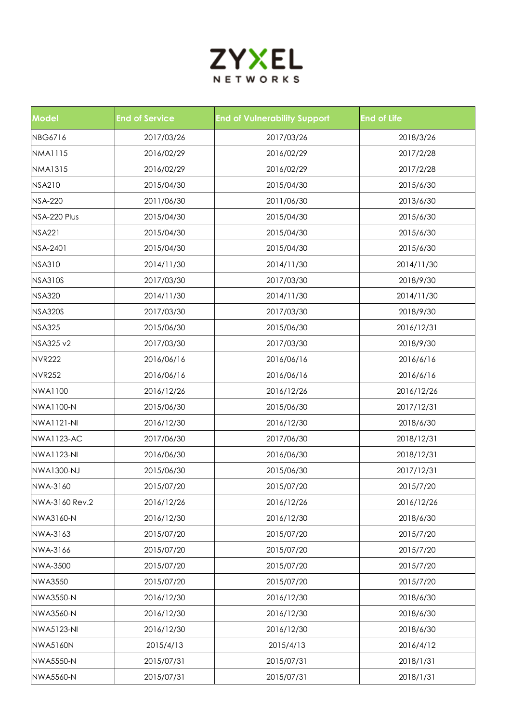

| <b>Model</b>      | <b>End of Service</b> | <b>End of Vulnerability Support</b> | <b>End of Life</b> |
|-------------------|-----------------------|-------------------------------------|--------------------|
| NBG6716           | 2017/03/26            | 2017/03/26                          | 2018/3/26          |
| <b>NMA1115</b>    | 2016/02/29            | 2016/02/29                          | 2017/2/28          |
| <b>NMA1315</b>    | 2016/02/29            | 2016/02/29                          | 2017/2/28          |
| <b>NSA210</b>     | 2015/04/30            | 2015/04/30                          | 2015/6/30          |
| <b>NSA-220</b>    | 2011/06/30            | 2011/06/30                          | 2013/6/30          |
| NSA-220 Plus      | 2015/04/30            | 2015/04/30                          | 2015/6/30          |
| <b>NSA221</b>     | 2015/04/30            | 2015/04/30                          | 2015/6/30          |
| <b>NSA-2401</b>   | 2015/04/30            | 2015/04/30                          | 2015/6/30          |
| <b>NSA310</b>     | 2014/11/30            | 2014/11/30                          | 2014/11/30         |
| <b>NSA310S</b>    | 2017/03/30            | 2017/03/30                          | 2018/9/30          |
| <b>NSA320</b>     | 2014/11/30            | 2014/11/30                          | 2014/11/30         |
| <b>NSA320S</b>    | 2017/03/30            | 2017/03/30                          | 2018/9/30          |
| <b>NSA325</b>     | 2015/06/30            | 2015/06/30                          | 2016/12/31         |
| NSA325 v2         | 2017/03/30            | 2017/03/30                          | 2018/9/30          |
| <b>NVR222</b>     | 2016/06/16            | 2016/06/16                          | 2016/6/16          |
| <b>NVR252</b>     | 2016/06/16            | 2016/06/16                          | 2016/6/16          |
| <b>NWA1100</b>    | 2016/12/26            | 2016/12/26                          | 2016/12/26         |
| <b>NWA1100-N</b>  | 2015/06/30            | 2015/06/30                          | 2017/12/31         |
| <b>NWA1121-NI</b> | 2016/12/30            | 2016/12/30                          | 2018/6/30          |
| <b>NWA1123-AC</b> | 2017/06/30            | 2017/06/30                          | 2018/12/31         |
| <b>NWA1123-NI</b> | 2016/06/30            | 2016/06/30                          | 2018/12/31         |
| <b>NWA1300-NJ</b> | 2015/06/30            | 2015/06/30                          | 2017/12/31         |
| NWA-3160          | 2015/07/20            | 2015/07/20                          | 2015/7/20          |
| NWA-3160 Rev.2    | 2016/12/26            | 2016/12/26                          | 2016/12/26         |
| NWA3160-N         | 2016/12/30            | 2016/12/30                          | 2018/6/30          |
| NWA-3163          | 2015/07/20            | 2015/07/20                          | 2015/7/20          |
| NWA-3166          | 2015/07/20            | 2015/07/20                          | 2015/7/20          |
| <b>NWA-3500</b>   | 2015/07/20            | 2015/07/20                          | 2015/7/20          |
| <b>NWA3550</b>    | 2015/07/20            | 2015/07/20                          | 2015/7/20          |
| <b>NWA3550-N</b>  | 2016/12/30            | 2016/12/30                          | 2018/6/30          |
| <b>NWA3560-N</b>  | 2016/12/30            | 2016/12/30                          | 2018/6/30          |
| <b>NWA5123-NI</b> | 2016/12/30            | 2016/12/30                          | 2018/6/30          |
| <b>NWA5160N</b>   | 2015/4/13             | 2015/4/13                           | 2016/4/12          |
| <b>NWA5550-N</b>  | 2015/07/31            | 2015/07/31                          | 2018/1/31          |
| <b>NWA5560-N</b>  | 2015/07/31            | 2015/07/31                          | 2018/1/31          |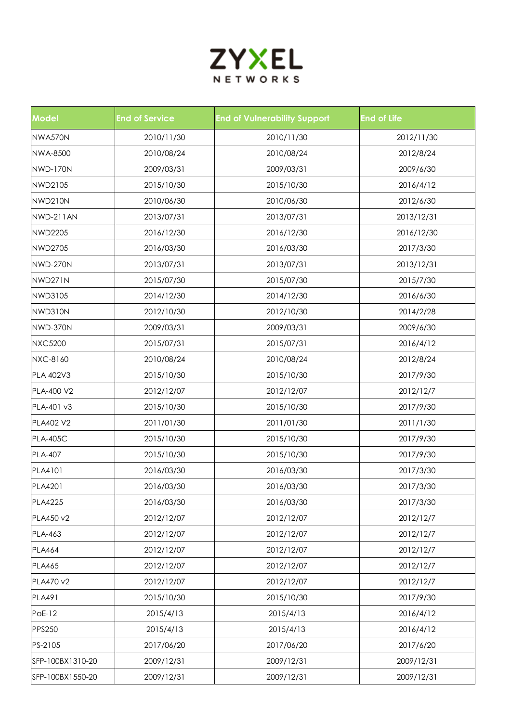

| <b>Model</b>     | <b>End of Service</b> | <b>End of Vulnerability Support</b> | <b>End of Life</b> |
|------------------|-----------------------|-------------------------------------|--------------------|
| NWA570N          | 2010/11/30            | 2010/11/30                          | 2012/11/30         |
| <b>NWA-8500</b>  | 2010/08/24            | 2010/08/24                          | 2012/8/24          |
| <b>NWD-170N</b>  | 2009/03/31            | 2009/03/31                          | 2009/6/30          |
| NWD2105          | 2015/10/30            | 2015/10/30                          | 2016/4/12          |
| NWD210N          | 2010/06/30            | 2010/06/30                          | 2012/6/30          |
| NWD-211AN        | 2013/07/31            | 2013/07/31                          | 2013/12/31         |
| <b>NWD2205</b>   | 2016/12/30            | 2016/12/30                          | 2016/12/30         |
| <b>NWD2705</b>   | 2016/03/30            | 2016/03/30                          | 2017/3/30          |
| NWD-270N         | 2013/07/31            | 2013/07/31                          | 2013/12/31         |
| NWD271N          | 2015/07/30            | 2015/07/30                          | 2015/7/30          |
| NWD3105          | 2014/12/30            | 2014/12/30                          | 2016/6/30          |
| NWD310N          | 2012/10/30            | 2012/10/30                          | 2014/2/28          |
| NWD-370N         | 2009/03/31            | 2009/03/31                          | 2009/6/30          |
| <b>NXC5200</b>   | 2015/07/31            | 2015/07/31                          | 2016/4/12          |
| <b>NXC-8160</b>  | 2010/08/24            | 2010/08/24                          | 2012/8/24          |
| PLA 402V3        | 2015/10/30            | 2015/10/30                          | 2017/9/30          |
| PLA-400 V2       | 2012/12/07            | 2012/12/07                          | 2012/12/7          |
| PLA-401 v3       | 2015/10/30            | 2015/10/30                          | 2017/9/30          |
| <b>PLA402 V2</b> | 2011/01/30            | 2011/01/30                          | 2011/1/30          |
| <b>PLA-405C</b>  | 2015/10/30            | 2015/10/30                          | 2017/9/30          |
| <b>PLA-407</b>   | 2015/10/30            | 2015/10/30                          | 2017/9/30          |
| <b>PLA4101</b>   | 2016/03/30            | 2016/03/30                          | 2017/3/30          |
| PLA4201          | 2016/03/30            | 2016/03/30                          | 2017/3/30          |
| <b>PLA4225</b>   | 2016/03/30            | 2016/03/30                          | 2017/3/30          |
| PLA450 v2        | 2012/12/07            | 2012/12/07                          | 2012/12/7          |
| PLA-463          | 2012/12/07            | 2012/12/07                          | 2012/12/7          |
| <b>PLA464</b>    | 2012/12/07            | 2012/12/07                          | 2012/12/7          |
| <b>PLA465</b>    | 2012/12/07            | 2012/12/07                          | 2012/12/7          |
| PLA470 v2        | 2012/12/07            | 2012/12/07                          | 2012/12/7          |
| <b>PLA491</b>    | 2015/10/30            | 2015/10/30                          | 2017/9/30          |
| <b>PoE-12</b>    | 2015/4/13             | 2015/4/13                           | 2016/4/12          |
| <b>PPS250</b>    | 2015/4/13             | 2015/4/13                           | 2016/4/12          |
| PS-2105          | 2017/06/20            | 2017/06/20                          | 2017/6/20          |
| SFP-100BX1310-20 | 2009/12/31            | 2009/12/31                          | 2009/12/31         |
| SFP-100BX1550-20 | 2009/12/31            | 2009/12/31                          | 2009/12/31         |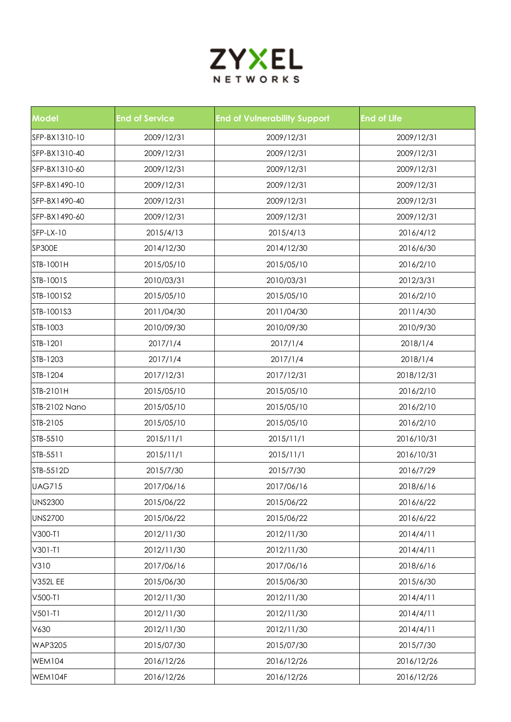

| <b>Model</b>         | <b>End of Service</b> | <b>End of Vulnerability Support</b> | <b>End of Life</b> |
|----------------------|-----------------------|-------------------------------------|--------------------|
| SFP-BX1310-10        | 2009/12/31            | 2009/12/31                          | 2009/12/31         |
| SFP-BX1310-40        | 2009/12/31            | 2009/12/31                          | 2009/12/31         |
| SFP-BX1310-60        | 2009/12/31            | 2009/12/31                          | 2009/12/31         |
| SFP-BX1490-10        | 2009/12/31            | 2009/12/31                          | 2009/12/31         |
| SFP-BX1490-40        | 2009/12/31            | 2009/12/31                          | 2009/12/31         |
| SFP-BX1490-60        | 2009/12/31            | 2009/12/31                          | 2009/12/31         |
| SFP-LX-10            | 2015/4/13             | 2015/4/13                           | 2016/4/12          |
| <b>SP300E</b>        | 2014/12/30            | 2014/12/30                          | 2016/6/30          |
| STB-1001H            | 2015/05/10            | 2015/05/10                          | 2016/2/10          |
| STB-1001S            | 2010/03/31            | 2010/03/31                          | 2012/3/31          |
| STB-1001S2           | 2015/05/10            | 2015/05/10                          | 2016/2/10          |
| STB-1001S3           | 2011/04/30            | 2011/04/30                          | 2011/4/30          |
| STB-1003             | 2010/09/30            | 2010/09/30                          | 2010/9/30          |
| STB-1201             | 2017/1/4              | 2017/1/4                            | 2018/1/4           |
| STB-1203             | 2017/1/4              | 2017/1/4                            | 2018/1/4           |
| STB-1204             | 2017/12/31            | 2017/12/31                          | 2018/12/31         |
| STB-2101H            | 2015/05/10            | 2015/05/10                          | 2016/2/10          |
| <b>STB-2102 Nano</b> | 2015/05/10            | 2015/05/10                          | 2016/2/10          |
| STB-2105             | 2015/05/10            | 2015/05/10                          | 2016/2/10          |
| STB-5510             | 2015/11/1             | 2015/11/1                           | 2016/10/31         |
| STB-5511             | 2015/11/1             | 2015/11/1                           | 2016/10/31         |
| STB-5512D            | 2015/7/30             | 2015/7/30                           | 2016/7/29          |
| <b>UAG715</b>        | 2017/06/16            | 2017/06/16                          | 2018/6/16          |
| <b>UNS2300</b>       | 2015/06/22            | 2015/06/22                          | 2016/6/22          |
| <b>UNS2700</b>       | 2015/06/22            | 2015/06/22                          | 2016/6/22          |
| V300-T1              | 2012/11/30            | 2012/11/30                          | 2014/4/11          |
| $V301-T1$            | 2012/11/30            | 2012/11/30                          | 2014/4/11          |
| V310                 | 2017/06/16            | 2017/06/16                          | 2018/6/16          |
| <b>V352L EE</b>      | 2015/06/30            | 2015/06/30                          | 2015/6/30          |
| V500-T1              | 2012/11/30            | 2012/11/30                          | 2014/4/11          |
| $V501-T1$            | 2012/11/30            | 2012/11/30                          | 2014/4/11          |
| V630                 | 2012/11/30            | 2012/11/30                          | 2014/4/11          |
| <b>WAP3205</b>       | 2015/07/30            | 2015/07/30                          | 2015/7/30          |
| <b>WEM104</b>        | 2016/12/26            | 2016/12/26                          | 2016/12/26         |
| WEM104F              | 2016/12/26            | 2016/12/26                          | 2016/12/26         |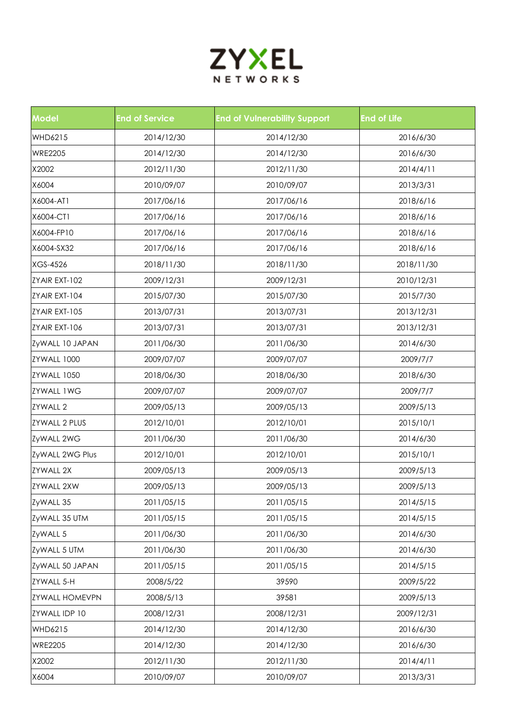

| <b>Model</b>          | <b>End of Service</b> | <b>End of Vulnerability Support</b> | <b>End of Life</b> |
|-----------------------|-----------------------|-------------------------------------|--------------------|
| WHD6215               | 2014/12/30            | 2014/12/30                          | 2016/6/30          |
| <b>WRE2205</b>        | 2014/12/30            | 2014/12/30                          | 2016/6/30          |
| X2002                 | 2012/11/30            | 2012/11/30                          | 2014/4/11          |
| X6004                 | 2010/09/07            | 2010/09/07                          | 2013/3/31          |
| X6004-AT1             | 2017/06/16            | 2017/06/16                          | 2018/6/16          |
| X6004-CT1             | 2017/06/16            | 2017/06/16                          | 2018/6/16          |
| X6004-FP10            | 2017/06/16            | 2017/06/16                          | 2018/6/16          |
| X6004-SX32            | 2017/06/16            | 2017/06/16                          | 2018/6/16          |
| XGS-4526              | 2018/11/30            | 2018/11/30                          | 2018/11/30         |
| ZYAIR EXT-102         | 2009/12/31            | 2009/12/31                          | 2010/12/31         |
| ZYAIR EXT-104         | 2015/07/30            | 2015/07/30                          | 2015/7/30          |
| ZYAIR EXT-105         | 2013/07/31            | 2013/07/31                          | 2013/12/31         |
| ZYAIR EXT-106         | 2013/07/31            | 2013/07/31                          | 2013/12/31         |
| ZyWALL 10 JAPAN       | 2011/06/30            | 2011/06/30                          | 2014/6/30          |
| ZYWALL 1000           | 2009/07/07            | 2009/07/07                          | 2009/7/7           |
| ZYWALL 1050           | 2018/06/30            | 2018/06/30                          | 2018/6/30          |
| <b>ZYWALL 1WG</b>     | 2009/07/07            | 2009/07/07                          | 2009/7/7           |
| <b>ZYWALL 2</b>       | 2009/05/13            | 2009/05/13                          | 2009/5/13          |
| <b>ZYWALL 2 PLUS</b>  | 2012/10/01            | 2012/10/01                          | 2015/10/1          |
| ZyWALL 2WG            | 2011/06/30            | 2011/06/30                          | 2014/6/30          |
| ZyWALL 2WG Plus       | 2012/10/01            | 2012/10/01                          | 2015/10/1          |
| <b>ZYWALL 2X</b>      | 2009/05/13            | 2009/05/13                          | 2009/5/13          |
| <b>ZYWALL 2XW</b>     | 2009/05/13            | 2009/05/13                          | 2009/5/13          |
| ZyWALL 35             | 2011/05/15            | 2011/05/15                          | 2014/5/15          |
| ZyWALL 35 UTM         | 2011/05/15            | 2011/05/15                          | 2014/5/15          |
| ZyWALL 5              | 2011/06/30            | 2011/06/30                          | 2014/6/30          |
| ZyWALL 5 UTM          | 2011/06/30            | 2011/06/30                          | 2014/6/30          |
| ZyWALL 50 JAPAN       | 2011/05/15            | 2011/05/15                          | 2014/5/15          |
| ZYWALL 5-H            | 2008/5/22             | 39590                               | 2009/5/22          |
| <b>ZYWALL HOMEVPN</b> | 2008/5/13             | 39581                               | 2009/5/13          |
| ZYWALL IDP 10         | 2008/12/31            | 2008/12/31                          | 2009/12/31         |
| <b>WHD6215</b>        | 2014/12/30            | 2014/12/30                          | 2016/6/30          |
| <b>WRE2205</b>        | 2014/12/30            | 2014/12/30                          | 2016/6/30          |
| X2002                 | 2012/11/30            | 2012/11/30                          | 2014/4/11          |
| X6004                 | 2010/09/07            | 2010/09/07                          | 2013/3/31          |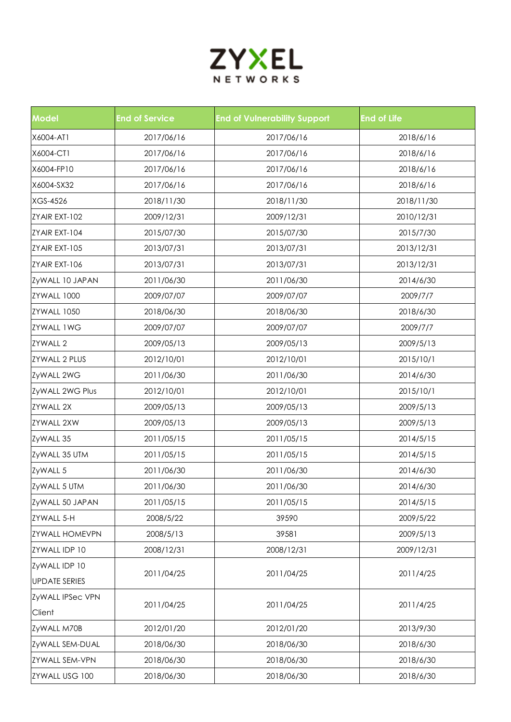

| <b>Model</b>          | <b>End of Service</b> | <b>End of Vulnerability Support</b> | <b>End of Life</b> |
|-----------------------|-----------------------|-------------------------------------|--------------------|
| X6004-AT1             | 2017/06/16            | 2017/06/16                          | 2018/6/16          |
| X6004-CT1             | 2017/06/16            | 2017/06/16                          | 2018/6/16          |
| X6004-FP10            | 2017/06/16            | 2017/06/16                          | 2018/6/16          |
| X6004-SX32            | 2017/06/16            | 2017/06/16                          | 2018/6/16          |
| XGS-4526              | 2018/11/30            | 2018/11/30                          | 2018/11/30         |
| ZYAIR EXT-102         | 2009/12/31            | 2009/12/31                          | 2010/12/31         |
| ZYAIR EXT-104         | 2015/07/30            | 2015/07/30                          | 2015/7/30          |
| ZYAIR EXT-105         | 2013/07/31            | 2013/07/31                          | 2013/12/31         |
| ZYAIR EXT-106         | 2013/07/31            | 2013/07/31                          | 2013/12/31         |
| ZyWALL 10 JAPAN       | 2011/06/30            | 2011/06/30                          | 2014/6/30          |
| ZYWALL 1000           | 2009/07/07            | 2009/07/07                          | 2009/7/7           |
| ZYWALL 1050           | 2018/06/30            | 2018/06/30                          | 2018/6/30          |
| <b>ZYWALL 1WG</b>     | 2009/07/07            | 2009/07/07                          | 2009/7/7           |
| <b>ZYWALL 2</b>       | 2009/05/13            | 2009/05/13                          | 2009/5/13          |
| <b>ZYWALL 2 PLUS</b>  | 2012/10/01            | 2012/10/01                          | 2015/10/1          |
| ZyWALL 2WG            | 2011/06/30            | 2011/06/30                          | 2014/6/30          |
| ZyWALL 2WG Plus       | 2012/10/01            | 2012/10/01                          | 2015/10/1          |
| <b>ZYWALL 2X</b>      | 2009/05/13            | 2009/05/13                          | 2009/5/13          |
| <b>ZYWALL 2XW</b>     | 2009/05/13            | 2009/05/13                          | 2009/5/13          |
| ZyWALL 35             | 2011/05/15            | 2011/05/15                          | 2014/5/15          |
| ZyWALL 35 UTM         | 2011/05/15            | 2011/05/15                          | 2014/5/15          |
| ZyWALL 5              | 2011/06/30            | 2011/06/30                          | 2014/6/30          |
| ZyWALL 5 UTM          | 2011/06/30            | 2011/06/30                          | 2014/6/30          |
| ZyWALL 50 JAPAN       | 2011/05/15            | 2011/05/15                          | 2014/5/15          |
| <b>ZYWALL 5-H</b>     | 2008/5/22             | 39590                               | 2009/5/22          |
| <b>ZYWALL HOMEVPN</b> | 2008/5/13             | 39581                               | 2009/5/13          |
| ZYWALL IDP 10         | 2008/12/31            | 2008/12/31                          | 2009/12/31         |
| ZyWALL IDP 10         |                       |                                     |                    |
| <b>UPDATE SERIES</b>  | 2011/04/25            | 2011/04/25                          | 2011/4/25          |
| ZyWALL IPSec VPN      |                       |                                     |                    |
| Client                | 2011/04/25            | 2011/04/25                          | 2011/4/25          |
| ZyWALL M70B           | 2012/01/20            | 2012/01/20                          | 2013/9/30          |
| ZyWALL SEM-DUAL       | 2018/06/30            | 2018/06/30                          | 2018/6/30          |
| ZYWALL SEM-VPN        | 2018/06/30            | 2018/06/30                          | 2018/6/30          |
| ZYWALL USG 100        | 2018/06/30            | 2018/06/30                          | 2018/6/30          |